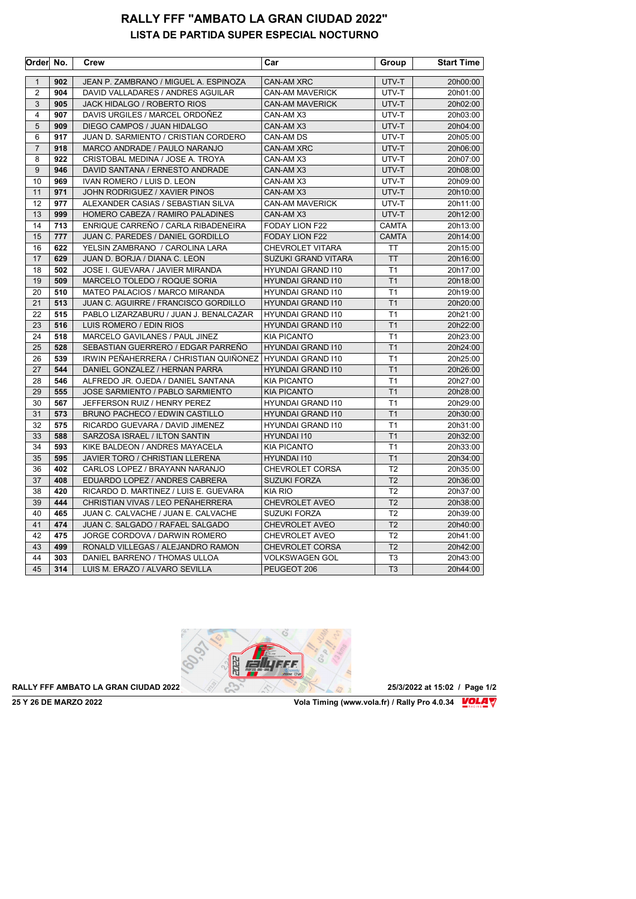## **RALLY FFF "AMBATO LA GRAN CIUDAD 2022" LISTA DE PARTIDA SUPER ESPECIAL NOCTURNO**

| Order          | No. | Crew                                   | Car                      | Group          | <b>Start Time</b> |
|----------------|-----|----------------------------------------|--------------------------|----------------|-------------------|
| $\mathbf{1}$   | 902 | JEAN P. ZAMBRANO / MIGUEL A. ESPINOZA  | <b>CAN-AM XRC</b>        | UTV-T          | 20h00:00          |
| $\overline{2}$ | 904 | DAVID VALLADARES / ANDRES AGUILAR      | <b>CAN-AM MAVERICK</b>   | UTV-T          | 20h01:00          |
| 3              | 905 | JACK HIDALGO / ROBERTO RIOS            | <b>CAN-AM MAVERICK</b>   | UTV-T          | 20h02:00          |
| 4              | 907 | DAVIS URGILES / MARCEL ORDOÑEZ         | CAN-AM X3                | UTV-T          | 20h03:00          |
| 5              | 909 | DIEGO CAMPOS / JUAN HIDALGO            | CAN-AM X3                | UTV-T          | 20h04:00          |
| 6              | 917 | JUAN D. SARMIENTO / CRISTIAN CORDERO   | CAN-AM DS                | UTV-T          | 20h05:00          |
| $\overline{7}$ | 918 | MARCO ANDRADE / PAULO NARANJO          | <b>CAN-AM XRC</b>        | UTV-T          | 20h06:00          |
| 8              | 922 | CRISTOBAL MEDINA / JOSE A. TROYA       | CAN-AM X3                | UTV-T          | 20h07:00          |
| 9              | 946 | DAVID SANTANA / ERNESTO ANDRADE        | CAN-AM X3                | UTV-T          | 20h08:00          |
| 10             | 969 | IVAN ROMERO / LUIS D. LEON             | CAN-AM X3                | UTV-T          | 20h09:00          |
| 11             | 971 | JOHN RODRIGUEZ / XAVIER PINOS          | CAN-AM X3                | UTV-T          | 20h10:00          |
| 12             | 977 | ALEXANDER CASIAS / SEBASTIAN SILVA     | <b>CAN-AM MAVERICK</b>   | UTV-T          | 20h11:00          |
| 13             | 999 | HOMERO CABEZA / RAMIRO PALADINES       | CAN-AM X3                | UTV-T          | 20h12:00          |
| 14             | 713 | ENRIQUE CARREÑO / CARLA RIBADENEIRA    | FODAY LION F22           | <b>CAMTA</b>   | 20h13:00          |
| 15             | 777 | JUAN C. PAREDES / DANIEL GORDILLO      | FODAY LION F22           | <b>CAMTA</b>   | 20h14:00          |
| 16             | 622 | YELSIN ZAMBRANO / CAROLINA LARA        | <b>CHEVROLET VITARA</b>  | <b>TT</b>      | 20h15:00          |
| 17             | 629 | JUAN D. BORJA / DIANA C. LEON          | SUZUKI GRAND VITARA      | <b>TT</b>      | 20h16:00          |
| 18             | 502 | JOSE I. GUEVARA / JAVIER MIRANDA       | <b>HYUNDAI GRAND I10</b> | T <sub>1</sub> | 20h17:00          |
| 19             | 509 | MARCELO TOLEDO / ROQUE SORIA           | <b>HYUNDAI GRAND I10</b> | T1             | 20h18:00          |
| 20             | 510 | MATEO PALACIOS / MARCO MIRANDA         | <b>HYUNDAI GRAND I10</b> | T <sub>1</sub> | 20h19:00          |
| 21             | 513 | JUAN C. AGUIRRE / FRANCISCO GORDILLO   | <b>HYUNDAI GRAND I10</b> | T1             | 20h20:00          |
| 22             | 515 | PABLO LIZARZABURU / JUAN J. BENALCAZAR | <b>HYUNDAI GRAND I10</b> | T1             | 20h21:00          |
| 23             | 516 | LUIS ROMERO / EDIN RIOS                | <b>HYUNDAI GRAND I10</b> | T1             | 20h22:00          |
| 24             | 518 | MARCELO GAVILANES / PAUL JINEZ         | <b>KIA PICANTO</b>       | T1             | 20h23:00          |
| 25             | 528 | SEBASTIAN GUERRERO / EDGAR PARREÑO     | <b>HYUNDAI GRAND 110</b> | T <sub>1</sub> | 20h24:00          |
| 26             | 539 | IRWIN PEÑAHERRERA / CHRISTIAN QUIÑONEZ | <b>HYUNDAI GRAND I10</b> | T1             | 20h25:00          |
| 27             | 544 | DANIEL GONZALEZ / HERNAN PARRA         | <b>HYUNDAI GRAND I10</b> | T1             | 20h26:00          |
| 28             | 546 | ALFREDO JR. OJEDA / DANIEL SANTANA     | <b>KIA PICANTO</b>       | T <sub>1</sub> | 20h27:00          |
| 29             | 555 | JOSE SARMIENTO / PABLO SARMIENTO       | <b>KIA PICANTO</b>       | T <sub>1</sub> | 20h28:00          |
| 30             | 567 | JEFFERSON RUIZ / HENRY PEREZ           | <b>HYUNDAI GRAND I10</b> | T1             | 20h29:00          |
| 31             | 573 | BRUNO PACHECO / EDWIN CASTILLO         | <b>HYUNDAI GRAND I10</b> | T1             | 20h30:00          |
| 32             | 575 | RICARDO GUEVARA / DAVID JIMENEZ        | <b>HYUNDAI GRAND 110</b> | T <sub>1</sub> | 20h31:00          |
| 33             | 588 | SARZOSA ISRAEL / ILTON SANTIN          | HYUNDAI 110              | T <sub>1</sub> | 20h32:00          |
| 34             | 593 | KIKE BALDEON / ANDRES MAYACELA         | <b>KIA PICANTO</b>       | T1             | 20h33:00          |
| 35             | 595 | JAVIER TORO / CHRISTIAN LLERENA        | <b>HYUNDAI 110</b>       | T <sub>1</sub> | 20h34:00          |
| 36             | 402 | CARLOS LOPEZ / BRAYANN NARANJO         | <b>CHEVROLET CORSA</b>   | T <sub>2</sub> | 20h35:00          |
| 37             | 408 | EDUARDO LOPEZ / ANDRES CABRERA         | <b>SUZUKI FORZA</b>      | T <sub>2</sub> | 20h36:00          |
| 38             | 420 | RICARDO D. MARTINEZ / LUIS E. GUEVARA  | <b>KIA RIO</b>           | T <sub>2</sub> | 20h37:00          |
| 39             | 444 | CHRISTIAN VIVAS / LEO PEÑAHERRERA      | <b>CHEVROLET AVEO</b>    | T <sub>2</sub> | 20h38:00          |
| 40             | 465 | JUAN C. CALVACHE / JUAN E. CALVACHE    | <b>SUZUKI FORZA</b>      | T <sub>2</sub> | 20h39:00          |
| 41             | 474 | JUAN C. SALGADO / RAFAEL SALGADO       | CHEVROLET AVEO           | T <sub>2</sub> | 20h40:00          |
| 42             | 475 | JORGE CORDOVA / DARWIN ROMERO          | CHEVROLET AVEO           | T <sub>2</sub> | 20h41:00          |
| 43             | 499 | RONALD VILLEGAS / ALEJANDRO RAMON      | <b>CHEVROLET CORSA</b>   | T <sub>2</sub> | 20h42:00          |
| 44             | 303 | DANIEL BARRENO / THOMAS ULLOA          | <b>VOLKSWAGEN GOL</b>    | T <sub>3</sub> | 20h43:00          |
| 45             | 314 | LUIS M. ERAZO / ALVARO SEVILLA         | PEUGEOT 206              | T <sub>3</sub> | 20h44:00          |

**RALLY FFF AMBATO LA GRAN CIUDAD 2022 2022 25/3/2022 at 15:02** / Page 1/2

**Vola Timing (www.vola.fr) / Rally Pro 4.0.34 VOLAT**